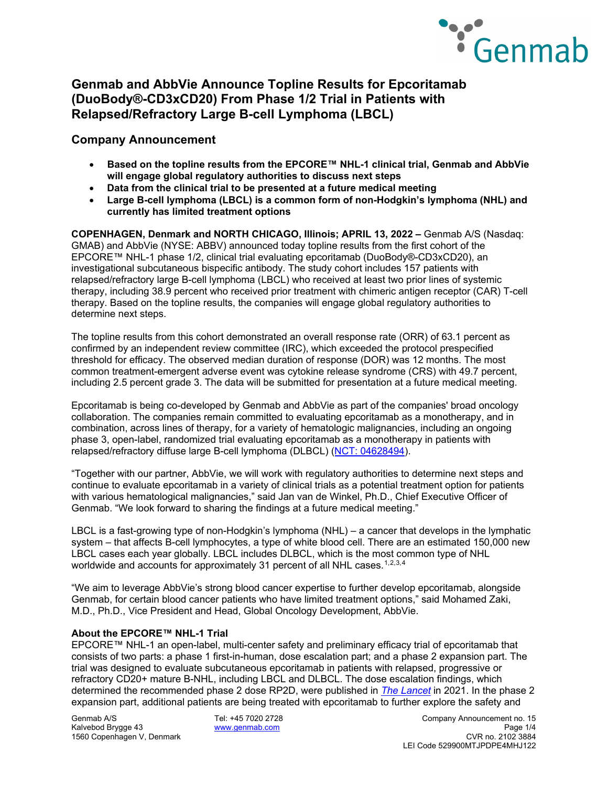

## **Company Announcement**

- **Based on the topline results from the EPCORE™ NHL-1 clinical trial, Genmab and AbbVie will engage global regulatory authorities to discuss next steps**
- **Data from the clinical trial to be presented at a future medical meeting**
- **Large B-cell lymphoma (LBCL) is a common form of non-Hodgkin's lymphoma (NHL) and currently has limited treatment options**

**COPENHAGEN, Denmark and NORTH CHICAGO, Illinois; APRIL 13, 2022 –** Genmab A/S (Nasdaq: GMAB) and AbbVie (NYSE: ABBV) announced today topline results from the first cohort of the EPCORE™ NHL-1 phase 1/2, clinical trial evaluating epcoritamab (DuoBody®-CD3xCD20), an investigational subcutaneous bispecific antibody. The study cohort includes 157 patients with relapsed/refractory large B-cell lymphoma (LBCL) who received at least two prior lines of systemic therapy, including 38.9 percent who received prior treatment with chimeric antigen receptor (CAR) T-cell therapy. Based on the topline results, the companies will engage global regulatory authorities to determine next steps.

The topline results from this cohort demonstrated an overall response rate (ORR) of 63.1 percent as confirmed by an independent review committee (IRC), which exceeded the protocol prespecified threshold for efficacy. The observed median duration of response (DOR) was 12 months. The most common treatment-emergent adverse event was cytokine release syndrome (CRS) with 49.7 percent, including 2.5 percent grade 3. The data will be submitted for presentation at a future medical meeting.

Epcoritamab is being co-developed by Genmab and AbbVie as part of the companies' broad oncology collaboration. The companies remain committed to evaluating epcoritamab as a monotherapy, and in combination, across lines of therapy, for a variety of hematologic malignancies, including an ongoing phase 3, open-label, randomized trial evaluating epcoritamab as a monotherapy in patients with relapsed/refractory diffuse large B-cell lymphoma (DLBCL) [\(NCT: 04628494\)](https://clinicaltrials.gov/ct2/show/NCT04628494?term=epcoritamab&draw=2&rank=1).

"Together with our partner, AbbVie, we will work with regulatory authorities to determine next steps and continue to evaluate epcoritamab in a variety of clinical trials as a potential treatment option for patients with various hematological malignancies," said Jan van de Winkel, Ph.D., Chief Executive Officer of Genmab. "We look forward to sharing the findings at a future medical meeting."

LBCL is a fast-growing type of non-Hodgkin's lymphoma (NHL) – a cancer that develops in the lymphatic system – that affects B-cell lymphocytes, a type of white blood cell. There are an estimated 150,000 new LBCL cases each year globally. LBCL includes DLBCL, which is the most common type of NHL worldwide and accounts for approximately 31 percent of all NHL cases.<sup>[1,](#page-3-0)[2,](#page-3-1)[3,](#page-3-2)[4](#page-3-3)</sup>

"We aim to leverage AbbVie's strong blood cancer expertise to further develop epcoritamab, alongside Genmab, for certain blood cancer patients who have limited treatment options," said Mohamed Zaki, M.D., Ph.D., Vice President and Head, Global Oncology Development, AbbVie.

## **About the EPCORE™ NHL-1 Trial**

EPCORE™ NHL-1 an open-label, multi-center safety and preliminary efficacy trial of epcoritamab that consists of two parts: a phase 1 first-in-human, dose escalation part; and a phase 2 expansion part. The trial was designed to evaluate subcutaneous epcoritamab in patients with relapsed, progressive or refractory CD20+ mature B-NHL, including LBCL and DLBCL. The dose escalation findings, which determined the recommended phase 2 dose RP2D, were published in *[The Lancet](https://www.thelancet.com/journals/lancet/article/PIIS0140-6736(21)00889-8/fulltext)* in 2021. In the phase 2 expansion part, additional patients are being treated with epcoritamab to further explore the safety and

1560 Copenhagen V, Denmark

Genmab A/S Tel: +45 7020 2728 Company Announcement no. 15 Kalvebod Brygge 43 [www.genmab.com](http://www.genmab.com/) Page 1/4 LEI Code 529900MTJPDPE4MHJ122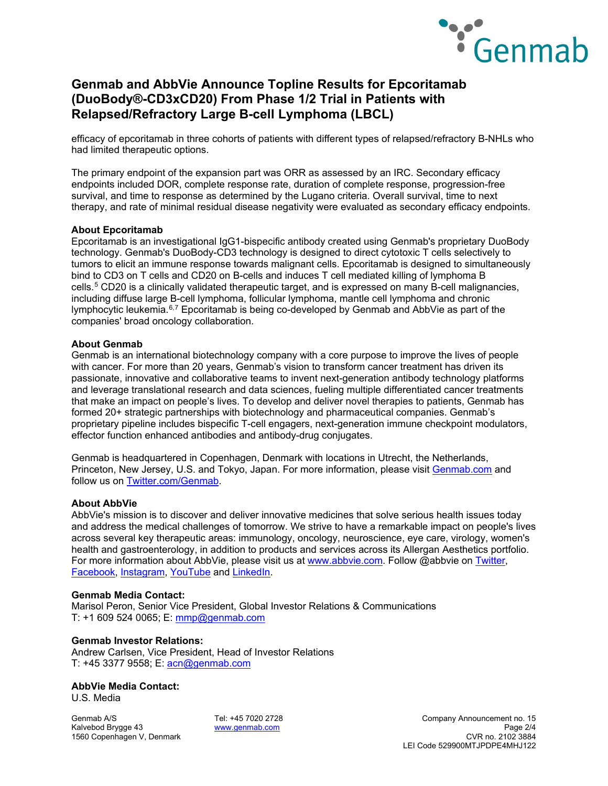

efficacy of epcoritamab in three cohorts of patients with different types of relapsed/refractory B-NHLs who had limited therapeutic options.

The primary endpoint of the expansion part was ORR as assessed by an IRC. Secondary efficacy endpoints included DOR, complete response rate, duration of complete response, progression-free survival, and time to response as determined by the Lugano criteria. Overall survival, time to next therapy, and rate of minimal residual disease negativity were evaluated as secondary efficacy endpoints.

#### **About Epcoritamab**

Epcoritamab is an investigational IgG1-bispecific antibody created using Genmab's proprietary DuoBody technology. Genmab's DuoBody-CD3 technology is designed to direct cytotoxic T cells selectively to tumors to elicit an immune response towards malignant cells. Epcoritamab is designed to simultaneously bind to CD3 on T cells and CD20 on B-cells and induces T cell mediated killing of lymphoma B cells.[5](#page-3-4) CD20 is a clinically validated therapeutic target, and is expressed on many B-cell malignancies, including diffuse large B-cell lymphoma, follicular lymphoma, mantle cell lymphoma and chronic lymphocytic leukemia. $6,7$  $6,7$  Epcoritamab is being co-developed by Genmab and AbbVie as part of the companies' broad oncology collaboration.

### **About Genmab**

Genmab is an international biotechnology company with a core purpose to improve the lives of people with cancer. For more than 20 years, Genmab's vision to transform cancer treatment has driven its passionate, innovative and collaborative teams to invent next-generation antibody technology platforms and leverage translational research and data sciences, fueling multiple differentiated cancer treatments that make an impact on people's lives. To develop and deliver novel therapies to patients, Genmab has formed 20+ strategic partnerships with biotechnology and pharmaceutical companies. Genmab's proprietary pipeline includes bispecific T-cell engagers, next-generation immune checkpoint modulators, effector function enhanced antibodies and antibody-drug conjugates.

Genmab is headquartered in Copenhagen, Denmark with locations in Utrecht, the Netherlands, Princeton, New Jersey, U.S. and Tokyo, Japan. For more information, please visit [Genmab.com](https://www.globenewswire.com/Tracker?data=7J8wXG565ta4ZSVQ68n0j_8u3EAHVRJGUMAGK25NyuUts4DKfdnXFKL48KUxouGZojYcGmT9qUCRB-devL8ibg==) and follow us on [Twitter.com/Genmab.](https://www.globenewswire.com/Tracker?data=YCGZBbX4xWYkHi_ImRt-BuVzDKWk-tc3YXFvh5rCHSaQNbJ5guOOMZOAQ8kTx-FB66hYiKICaMN7Z52AkZFq6L-GWvMJARoCR4RZ0GktfrI=)

#### **About AbbVie**

AbbVie's mission is to discover and deliver innovative medicines that solve serious health issues today and address the medical challenges of tomorrow. We strive to have a remarkable impact on people's lives across several key therapeutic areas: immunology, oncology, neuroscience, eye care, virology, women's health and gastroenterology, in addition to products and services across its Allergan Aesthetics portfolio. For more information about AbbVie, please visit us at [www.abbvie.com.](https://www.abbvie.com/) Follow @abbvie on [Twitter,](https://twitter.com/abbvie?ref_src=twsrc%5Egoogle%7Ctwcamp%5Eserp%7Ctwgr%5Eauthor) [Facebook,](https://www.facebook.com/AbbVieGlobal/) [Instagram,](https://www.instagram.com/abbvie/) [YouTube](https://www.youtube.com/user/AbbVie) and [LinkedIn.](https://www.linkedin.com/company/abbvie/)

#### **Genmab Media Contact:**

Marisol Peron, Senior Vice President, Global Investor Relations & Communications T: +1 609 524 0065; E: [mmp@genmab.com](mailto:mmp@genmab.com)

### **Genmab Investor Relations:**

Andrew Carlsen, Vice President, Head of Investor Relations T: +45 3377 9558; E: [acn@genmab.com](mailto:acn@genmab.com)

**AbbVie Media Contact:** U.S. Media

1560 Copenhagen V, Denmark

Genmab A/S Tel: +45 7020 2728 Company Announcement no. 15 Kalvebod Brygge 43 **[www.genmab.com](http://www.genmab.com/) Page 2/4** Webles to the Page 2/4 construction of the Page 2/4 construction of<br>Page 2/4 construction of the Page 2/4 construction of the Page 2/4 construction of the Page 2/4 construction LEI Code 529900MTJPDPE4MHJ122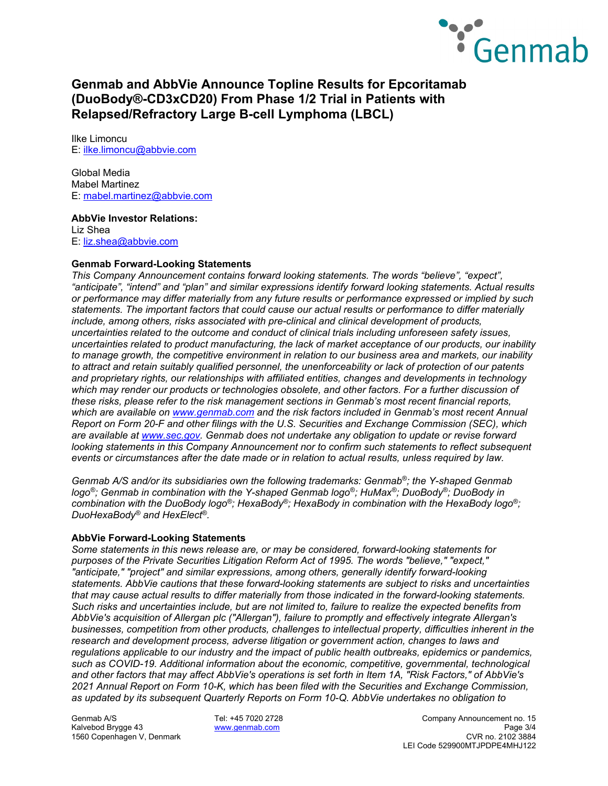

Ilke Limoncu E: [ilke.limoncu@abbvie.com](mailto:ilke.limoncu@abbvie.com)

Global Media Mabel Martinez E: [mabel.martinez@abbvie.com](mailto:mabel.martinez@abbvie.com) 

**AbbVie Investor Relations:** Liz Shea E: [liz.shea@abbvie.com](mailto:liz.shea@abbvie.com) 

### **Genmab Forward-Looking Statements**

*This Company Announcement contains forward looking statements. The words "believe", "expect", "anticipate", "intend" and "plan" and similar expressions identify forward looking statements. Actual results or performance may differ materially from any future results or performance expressed or implied by such statements. The important factors that could cause our actual results or performance to differ materially include, among others, risks associated with pre-clinical and clinical development of products, uncertainties related to the outcome and conduct of clinical trials including unforeseen safety issues, uncertainties related to product manufacturing, the lack of market acceptance of our products, our inability to manage growth, the competitive environment in relation to our business area and markets, our inability to attract and retain suitably qualified personnel, the unenforceability or lack of protection of our patents and proprietary rights, our relationships with affiliated entities, changes and developments in technology which may render our products or technologies obsolete, and other factors. For a further discussion of these risks, please refer to the risk management sections in Genmab's most recent financial reports, which are available on [www.genmab.com](https://www.globenewswire.com/Tracker?data=DnYHK7vjAqLHjznYdzcLqjwouAHH8rW8nh2fXLhbGIyRNH0wKehg3nYvgLzLMYlX51yMSrcUAsSIemb9yE65eQ==) and the risk factors included in Genmab's most recent Annual Report on Form 20-F and other filings with the U.S. Securities and Exchange Commission (SEC), which are available at [www.sec.gov.](https://www.globenewswire.com/Tracker?data=DnYHK7vjAqLHjznYdzcLqlb8XTtui1KDt8kqFnPnFicCjdkh8vKH3WNWb-xeFZfZ1q6fMkos1b9-udh0N5c2M_49-Cqyav6YYNzV9UiE1zE=) Genmab does not undertake any obligation to update or revise forward looking statements in this Company Announcement nor to confirm such statements to reflect subsequent events or circumstances after the date made or in relation to actual results, unless required by law.*

*Genmab A/S and/or its subsidiaries own the following trademarks: Genmab®; the Y-shaped Genmab logo®; Genmab in combination with the Y-shaped Genmab logo®; HuMax®; DuoBody®; DuoBody in combination with the DuoBody logo®; HexaBody®; HexaBody in combination with the HexaBody logo®; DuoHexaBody® and HexElect®.* 

### **AbbVie Forward-Looking Statements**

*Some statements in this news release are, or may be considered, forward-looking statements for purposes of the Private Securities Litigation Reform Act of 1995. The words "believe," "expect," "anticipate," "project" and similar expressions, among others, generally identify forward-looking statements. AbbVie cautions that these forward-looking statements are subject to risks and uncertainties that may cause actual results to differ materially from those indicated in the forward-looking statements. Such risks and uncertainties include, but are not limited to, failure to realize the expected benefits from AbbVie's acquisition of Allergan plc ("Allergan"), failure to promptly and effectively integrate Allergan's businesses, competition from other products, challenges to intellectual property, difficulties inherent in the research and development process, adverse litigation or government action, changes to laws and regulations applicable to our industry and the impact of public health outbreaks, epidemics or pandemics, such as COVID-19. Additional information about the economic, competitive, governmental, technological and other factors that may affect AbbVie's operations is set forth in Item 1A, "Risk Factors," of AbbVie's 2021 Annual Report on Form 10-K, which has been filed with the Securities and Exchange Commission, as updated by its subsequent Quarterly Reports on Form 10-Q. AbbVie undertakes no obligation to* 

1560 Copenhagen V, Denmark

Genmab A/S Tel: +45 7020 2728 Cenmab A/S<br>Kalvebod Brygge 43 Company Announcement no. 15 Kalvebod Brygge 43 **[www.genmab.com](http://www.genmab.com/) Page 3/4** Page 3/4<br>1560 Copenhagen V. Denmark **www.genmab.com** Page 3/4 Page 3/4 Page 3/4 Page 3/4 Page 3/4 LEI Code 529900MTJPDPE4MHJ122